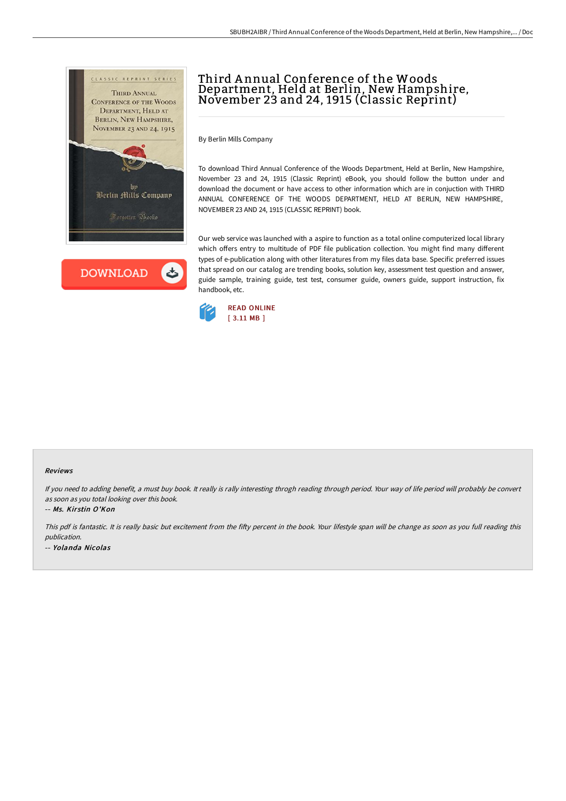

**DOWNLOAD** ٹ

## Third Annual Conference of the Woods Department, Held at Berlin, New Hampshire, November <sup>23</sup> and 24, <sup>1915</sup> (Classic Reprint)

By Berlin Mills Company

To download Third Annual Conference of the Woods Department, Held at Berlin, New Hampshire, November 23 and 24, 1915 (Classic Reprint) eBook, you should follow the button under and download the document or have access to other information which are in conjuction with THIRD ANNUAL CONFERENCE OF THE WOODS DEPARTMENT, HELD AT BERLIN, NEW HAMPSHIRE, NOVEMBER 23 AND 24, 1915 (CLASSIC REPRINT) book.

Our web service was launched with a aspire to function as a total online computerized local library which offers entry to multitude of PDF file publication collection. You might find many different types of e-publication along with other literatures from my files data base. Specific preferred issues that spread on our catalog are trending books, solution key, assessment test question and answer, guide sample, training guide, test test, consumer guide, owners guide, support instruction, fix handbook, etc.



## Reviews

If you need to adding benefit, <sup>a</sup> must buy book. It really is rally interesting throgh reading through period. Your way of life period will probably be convert as soon as you total looking over this book.

-- Ms. Kirstin O'Kon

This pdf is fantastic. It is really basic but excitement from the fifty percent in the book. Your lifestyle span will be change as soon as you full reading this publication. -- Yolanda Nicolas